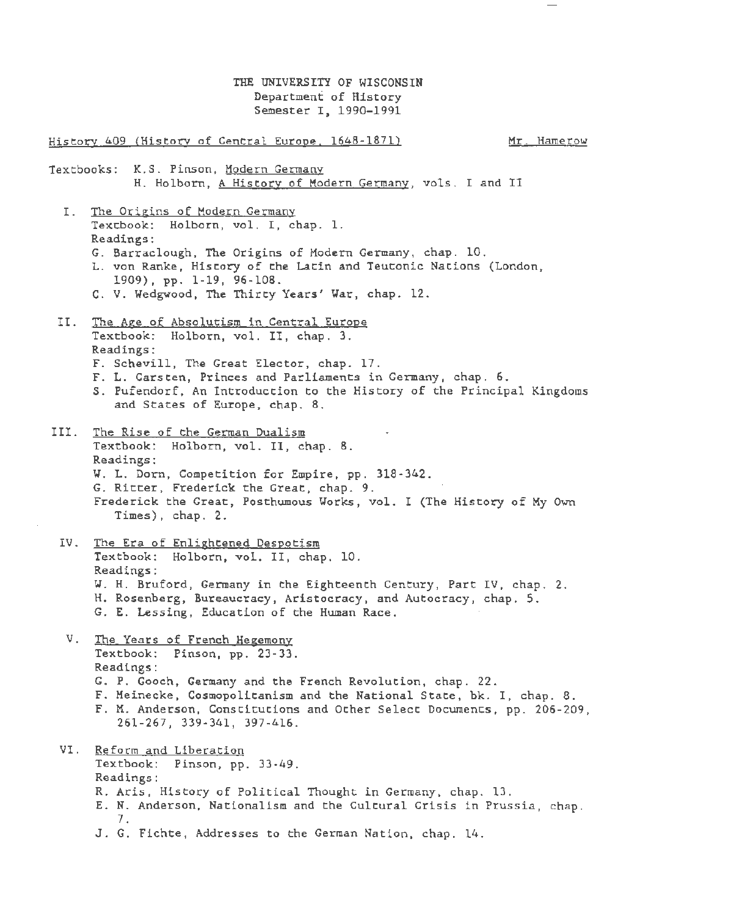THE UNIVERSITY OF WISCONSIN Department of History Semester I, 1990-1991

History 409 (Historv of Central Europe. 1648-1871) Textbooks: K.S. Pinson, Modern Germany Mr. Hamerow H. Holborn, A History of Modern Germany, vols. I and II I. The Origins of Modern Germany Textbook: Holborn, vol. I, chap. 1. Readings : G. Barraclough, The Origins of Modern Germany, chap. 10 . L. von Ranke, History of the Latin and Teutonic Nations (London, 1909), pp. 1-19, 96-108. C. V. Wedgwood, The Thirty Years' War, chap. 12. II. Jhe Age of Absolutism in Central Europe Textbook: Holborn, vol. II, chap. 3. Readings : F. Schevill, The Great Elector, chap. 17. F. L. Carsten, Princes and Parliaments in Germany, chap. 6. S. Pufendorf, An Introduction to the History of the Principal Kingdoms and States of Europe, chap. 8. III. The Rise of the German Dualism Textbook: Holborn, vol. II, chap. 8. Readings : W. L. Dorn, Competition for Empire, pp. 318-342. G. Ritter, Frederick the Great, chap. 9. Frederick the Great, Posthumous Works, vol. I (The History of My Own Times), chap. 2. IV. The Era of Enlightened Despotism Textbook: Holborn, vol. II, chap. 10. Readings: W. H. Bruford, Germany in the Eighteenth Century, Part IV, chap. 2. H. Rosenberg, Bureaucracy, Aristocracy, and Autocracy, chap. 5. G. E. Lessing, Education of the Human Race . V. The Years of French Hegemony Textbook: Pinson, pp. 23-33. Readings: G. P. Gooch, Germany and the French Revolution, chap. 22 . F . Meinecke, Cosmopolitanism and the National State, bk. I, chap. 8. F. M. Anderson, Constitutions and Other Select Documents, pp. 206-209, 261-267, 339-341, 397-416. VI. Reform and Liberation Textbook: Pinson, pp. 33-49. Readings: R. Aris, History of Political Thought in Germany, chap. 13. E. N. Anderson, Nationalism and the Cultural Crisis in Prussia, chap. 7. J. G. Fichte, Addresses to the German Nation, chap. 14.